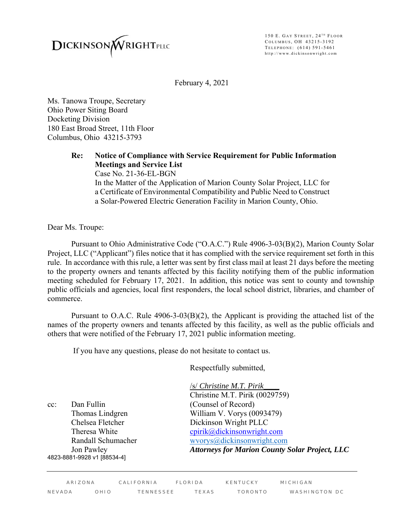

150 E. GAY STREET, 24<sup>TH</sup> FLOOR COLUMBUS, OH 43215-3192 TELEPHONE: (614) 591-5461 http://www.dickinsonwright.com

February 4, 2021

Ms. Tanowa Troupe, Secretary Ohio Power Siting Board Docketing Division 180 East Broad Street, 11th Floor Columbus, Ohio 43215-3793

> **Re: Notice of Compliance with Service Requirement for Public Information Meetings and Service List** Case No. 21-36-EL-BGN

In the Matter of the Application of Marion County Solar Project, LLC for a Certificate of Environmental Compatibility and Public Need to Construct a Solar-Powered Electric Generation Facility in Marion County, Ohio.

Dear Ms. Troupe:

 Pursuant to Ohio Administrative Code ("O.A.C.") Rule 4906-3-03(B)(2), Marion County Solar Project, LLC ("Applicant") files notice that it has complied with the service requirement set forth in this rule. In accordance with this rule, a letter was sent by first class mail at least 21 days before the meeting to the property owners and tenants affected by this facility notifying them of the public information meeting scheduled for February 17, 2021. In addition, this notice was sent to county and township public officials and agencies, local first responders, the local school district, libraries, and chamber of commerce.

Pursuant to O.A.C. Rule 4906-3-03(B)(2), the Applicant is providing the attached list of the names of the property owners and tenants affected by this facility, as well as the public officials and others that were notified of the February 17, 2021 public information meeting.

If you have any questions, please do not hesitate to contact us.

Respectfully submitted,

cc: Dan Fullin (Counsel of Record) 4823-8881-9928 v1 [88534-4]

/s/ *Christine M.T. Pirik\_\_\_\_* Christine M.T. Pirik (0029759) Thomas Lindgren William V. Vorys (0093479) Chelsea Fletcher Dickinson Wright PLLC Theresa White cpirik@dickinsonwright.com Randall Schumacherwvorys@dickinsonwright.com Jon Pawley *Attorneys for Marion County Solar Project, LLC*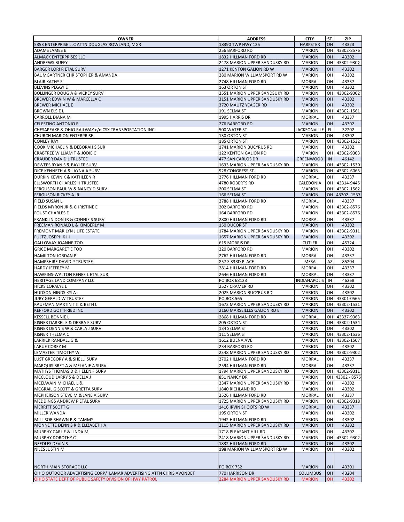| <b>OWNER</b>                                                                                                                   | <b>ADDRESS</b>                                          | <b>CITY</b>                      | ST         | ZIP                            |
|--------------------------------------------------------------------------------------------------------------------------------|---------------------------------------------------------|----------------------------------|------------|--------------------------------|
| 5353 ENTERPRISE LLC ATTN DOUGLAS ROWLAND, MGR                                                                                  | 18390 TWP HWY 125                                       | <b>HARPSTER</b>                  | <b>OH</b>  | 43323                          |
| <b>ADAMS JAMES E</b>                                                                                                           | 256 BARFORD RD                                          | <b>MARION</b>                    |            | OH 43302-8576                  |
| <b>ALMACK ENTERPRISES LLC</b>                                                                                                  | 1832 HILLMAN FORD RD                                    | <b>MARION</b>                    | <b>OH</b>  | 43302                          |
| <b>ANDREWS BUFFY</b>                                                                                                           | 2478 MARION UPPER SANDUSKY RD                           | <b>MARION</b>                    | <b>OH</b>  | 43302-9302                     |
| <b>BARGER LORI R ETAL SURV</b>                                                                                                 | 1271 KENTON GALION RD W                                 | <b>MARION</b>                    | <b>OH</b>  | 43302                          |
| BAUMGARTNER CHRISTOPHER & AMANDA                                                                                               | 280 MARION WILLIAMSPORT RD W                            | <b>MARION</b>                    | OН         | 43302                          |
| <b>BLAIR KATHY S</b>                                                                                                           | 2748 HILLMAN FORD RD                                    | <b>MORRAL</b>                    | OН         | 43337                          |
| <b>BLEVINS PEGGY E</b>                                                                                                         | 163 ORTON ST                                            | <b>MARION</b>                    | OH         | 43302                          |
| <b>BOLLINGER DOUG A &amp; VICKEY SURV</b>                                                                                      | 2551 MARION UPPER SANDSUKY RD                           | <b>MARION</b>                    | <b>OH</b>  | 43302-9302                     |
| BREWER EDWIN W & MARCELLA C                                                                                                    | 3151 MARION UPPER SANDUSKY RD                           | <b>MARION</b>                    | <b>OH</b>  | 43302                          |
| <b>BREWER MICHAEL E</b>                                                                                                        | 3720 MAUTZ YEAGER RD                                    | <b>MARION</b>                    | <b>OH</b>  | 43302                          |
| <b>BROWN ELSIE L</b>                                                                                                           | 191 SELMA ST                                            | <b>MARION</b>                    | <b>OH</b>  | 43302-1561                     |
| <b>CARROLL DIANA M</b>                                                                                                         | 1995 HARRIS DR                                          | <b>MORRAL</b>                    | OH         | 43337                          |
| <b>CELESTINO ANTONIO R</b>                                                                                                     | 276 BARFORD RD                                          | <b>MARION</b>                    | <b>OH</b>  | 43302                          |
| CHESAPEAKE & OHIO RAILWAY c/o CSX TRANSPORTATION INC                                                                           | 500 WATER ST                                            | <b>JACKSONVILLE</b>              | - FL       | 32202                          |
| <b>CHURCH MARION ENTERPRISE</b>                                                                                                | 130 ORTON ST                                            | <b>MARION</b>                    | OH         | 43302                          |
| <b>CONLEY RAY</b>                                                                                                              | 185 ORTON ST                                            | <b>MARION</b>                    |            | OH 43302-1532                  |
| COOK MICHAEL N & DEBORAH S SUR                                                                                                 | 1741 MARION BUCYRUS RD                                  | <b>MARION</b>                    | OH         | 43302                          |
| CRABTREE WILLIAM T & JODIE C                                                                                                   | 122 KENTON GALION RD                                    | <b>MARION</b>                    |            | OH 43302-9303                  |
| <b>CRAUDER DAVID L TRUSTEE</b>                                                                                                 | 477 SAN CARLOS DR                                       | <b>GREENWOOD</b>                 | IN         | 46142                          |
| DEWEES RYAN S & BAYLEE SURV                                                                                                    | 1633 MARION UPPER SANDUSKY RD                           | <b>MARION</b>                    | OHI        | 43302-1530                     |
| DICE KENNETH A & JAYNA A SURV                                                                                                  | 928 CONGRESS ST.                                        | <b>MARION</b>                    |            | OH 43302-6065                  |
|                                                                                                                                |                                                         |                                  |            |                                |
| DURKIN KEVIN K & KATHLEEN R<br>ELLSWORTH CHARLES H TRUSTEE                                                                     | 2776 HILLMAN FORD RD                                    | <b>MORRAL</b><br>CALEDONIA       | OH         | 43337                          |
|                                                                                                                                | 4780 ROBERTS RD                                         |                                  |            | OH 43314-9445                  |
| FERGUSON PAUL W & NANCY D SURV<br><b>FERGUSON RICKEY A JR</b>                                                                  | 200 SELMA ST<br>166 SELMA ST                            | <b>MARION</b><br><b>MARION</b>   |            | OH 43302-1562<br>OH 43302-1537 |
|                                                                                                                                |                                                         |                                  |            |                                |
| <b>FIELD SUSAN L</b>                                                                                                           | 2788 HILLMAN FORD RD                                    | <b>MORRAL</b>                    | OH         | 43337                          |
| FIELDS MYRON JR & CHRISTINE E                                                                                                  | 202 BARFORD RD                                          | <b>MARION</b>                    |            | OH 43302-8576                  |
| <b>FOUST CHARLES E</b>                                                                                                         | 164 BARFORD RD                                          | <b>MARION</b>                    | <b>OH</b>  | 43302-8576                     |
| FRANKLIN DON JR & CONNIES SURV                                                                                                 | 2800 HILLMAN FORD RD                                    | <b>MORRAL</b>                    | OH         | 43337                          |
| FREEMAN RONALD L & KIMBERLY M                                                                                                  | 150 DUCOR ST                                            | <b>MARION</b>                    | <b>OH</b>  | 43302                          |
| FREMONT MARILYN J LIFE ESTATE                                                                                                  | 1784 MARION UPPER SANDUSKY RD                           | <b>MARION</b>                    | OН         | 43302-9311                     |
| <b>FULTZ JOSEPH K III</b>                                                                                                      | 1657 MARION UPPER SANDUSKY RD                           | <b>MARION</b>                    | OH         | 43302                          |
| <b>GALLOWAY JOANNE TOD</b>                                                                                                     | 615 MORRIS DR                                           | <b>CUTLER</b>                    | OН         | 45724                          |
| <b>GRICE MARGARET E TOD</b>                                                                                                    | 220 BARFORD RD                                          | <b>MARION</b>                    | OН         | 43302                          |
| <b>HAMILTON JORDAN P</b>                                                                                                       | 2762 HILLMAN FORD RD                                    | <b>MORRAL</b>                    | OH         | 43337                          |
| HAMPSHIRE DAVID P TRUSTEE                                                                                                      | 857 S 33RD PLACE                                        | <b>MESA</b>                      | AZ         | 85204                          |
| <b>HARDY JEFFREY M</b>                                                                                                         | 2814 HILLMAN FORD RD                                    | <b>MORRAL</b>                    | OH         | 43337                          |
| HAWKINS-WALTON RENEE L ETAL SUR                                                                                                | 2646 HILLMAN FORD RD                                    | <b>MORRAL</b>                    | OH         | 43337                          |
| HERITAGE LAND COMPANY LLC                                                                                                      | PO BOX 68123                                            | <b>INDIANAPOLIS</b>              | IN         | 46268                          |
| <b>HICKS LORALYE L</b>                                                                                                         | 2527 CRAMER RD                                          | <b>MARION</b>                    | OН         | 43302                          |
| <b>HUDSON-HINDS KYLA</b>                                                                                                       | 2025 MARION BUCYRUS RD                                  | <b>MARION</b>                    | OH         | 43302                          |
| JURY GERALD W TRUSTEE                                                                                                          | <b>PO BOX 565</b>                                       | <b>MARION</b>                    | OH         | 43301-0565                     |
| KAUFMAN MARTIN T II & BETH L                                                                                                   | 1672 MARION UPPER SANDUSKY RD                           | <b>MARION</b>                    | <b>OHI</b> | 43302-1531                     |
| <b>KEPFORD GOTTFRIED INC</b>                                                                                                   | 2160 MARSEILLES GALION RD E                             | <b>MARION</b>                    | <b>OH</b>  | 43302                          |
| <b>KESSELL BONNIE L</b>                                                                                                        | 2868 HILLMAN FORD RD                                    | <b>MORRAL</b>                    |            | OH 43337-9363                  |
| KISNER DARREL E & DEBRA F SURV                                                                                                 | 205 ORTON ST                                            | <b>MARION</b>                    |            | OH 43302-1534                  |
| KISNER DENNIS W & CARLA J SURV                                                                                                 | 134 SELMA ST                                            | <b>MARION</b>                    | OH         | 43302                          |
| <b>KISNER THELMA C</b>                                                                                                         | 111 SELMA ST                                            | <b>MARION</b>                    |            | OH 43302-1536                  |
| <b>LARRICK RANDALL G &amp;</b>                                                                                                 | 1612 BUENA AVE                                          | <b>MARION</b>                    |            | OH 43302-1507                  |
| <b>LARUE COREY M</b>                                                                                                           | 234 BARFORD RD                                          | <b>MARION</b>                    | OН         | 43302                          |
| LEMASTER TIMOTHY W                                                                                                             | 2348 MARION UPPER SANDUSKY RD                           | <b>MARION</b>                    | OH.        | 43302-9302                     |
| LUST GREGORY A & SHELLI SURV                                                                                                   | 2702 HILLMAN FORD RD                                    | <b>MORRAL</b>                    | OH         | 43337                          |
| MARQUIS BRET A & MELANIE A SURV                                                                                                | 2594 HILLMAN FORD RD                                    | <b>MORRAL</b>                    | OН         | 43337                          |
| MATHYS THOMAS D & HELEN F SURV                                                                                                 | 1794 MARION UPPER SANDUSKY RD                           | <b>MARION</b>                    | OH I       | 43302-9311                     |
| MCCLOUD LARRY S & DELLA J                                                                                                      | 851 NANCY DR                                            | <b>MARION</b>                    |            | OH 43302 - 8575                |
| MCELWAIN MICHAEL L &                                                                                                           | 2347 MARION UPPER SANDUSKY RD                           | <b>MARION</b>                    | OH         | 43302                          |
| MCGRAIL G SCOTT & GRETTA SURV                                                                                                  | 1840 RICHLAND RD                                        | <b>MARION</b>                    | OH         | 43302                          |
| MCPHERSON STEVE M & JANE A SURV                                                                                                | 2526 HILLMAN FORD RD                                    | <b>MORRAL</b>                    | OН         | 43337                          |
| MEDDINGS ANDREW P ETAL SURV                                                                                                    | 1725 MARION UPPER SANDUSKY RD                           | <b>MARION</b>                    | OН         | 43302-9318                     |
| <b>MERRITT SCOTT G</b>                                                                                                         | 1416 IRVIN SHOOTS RD W                                  | <b>MORRAL</b>                    | OH         | 43337                          |
| MILLER WANDA                                                                                                                   | 195 ORTON ST                                            | <b>MARION</b>                    | OН         | 43302                          |
| MILLISOR SHAWN P & TAMMY                                                                                                       | 1942 HILLMAN FORD RD                                    | <b>MARION</b>                    | OH         | 43302                          |
| MONNETTE DENNIS R & ELIZABETH A                                                                                                | 2115 MARION UPPER SANDUSKY RD                           | <b>MARION</b>                    | OH         | 43302                          |
|                                                                                                                                |                                                         |                                  |            |                                |
| MURPHY CARL E & LINDA M                                                                                                        | 1718 PLEASANT HILL RD                                   | <b>MARION</b>                    | OН         | 43302                          |
| <b>MURPHY DOROTHY C</b>                                                                                                        | 2418 MARION UPPER SANDUSKY RD                           | <b>MARION</b>                    | OН<br>0H   | 43302-9302                     |
| <b>NEEDLES DEVIN S</b>                                                                                                         | 1832 HILLMAN FORD RD<br>198 MARION WILLIAMSPORT RD W    | <b>MARION</b><br><b>MARION</b>   | OН         | 43302<br>43302                 |
| NILES JUSTIN M                                                                                                                 |                                                         |                                  |            |                                |
|                                                                                                                                |                                                         |                                  |            |                                |
| NORTH MAIN STORAGE LLC                                                                                                         | <b>PO BOX 732</b>                                       | <b>MARION</b>                    | OH         | 43301                          |
|                                                                                                                                |                                                         |                                  |            |                                |
| OHIO OUTDOOR ADVERTISING CORP/ LAMAR ADVERTISING ATTN CHRIS AVONDET<br>OHIO STATE DEPT OF PUBLIC SAFETY DIVISION OF HWY PATROL | 770 HARRISON DR<br><b>2284 MARION UPPER SANDUSKY RD</b> | <b>COLUMBUS</b><br><b>MARION</b> | OH         | 43204<br>43302                 |
|                                                                                                                                |                                                         |                                  | он         |                                |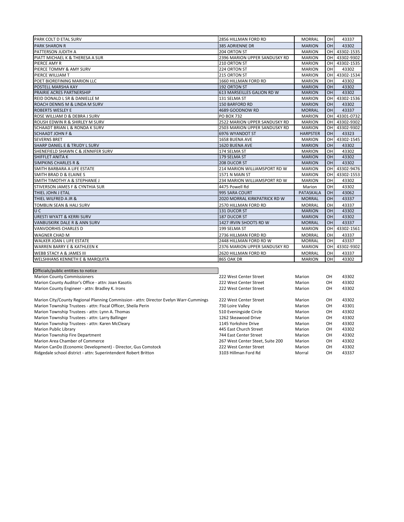| PARK COLT D ETAL SURV                     | 2856 HILLMAN FORD RD          | <b>MORRAL</b>    | OH.        | 43337      |
|-------------------------------------------|-------------------------------|------------------|------------|------------|
| <b>PARK SHARON R</b>                      | 385 ADRIENNE DR               | <b>MARION</b>    | OH.        | 43302      |
| PATTERSON JUDITH A                        | 204 ORTON ST                  | <b>MARION</b>    | OH I       | 43302-1535 |
| PIATT MICHAEL K & THERESA A SUR           | 2396 MARION UPPER SANDUSKY RD | <b>MARION</b>    | OH I       | 43302-9302 |
| PIERCE AMY R                              | 210 ORTON ST                  | <b>MARION</b>    | OН         | 43302-1535 |
| PIERCE TOMMY & AMY SURV                   | 224 ORTON ST                  | <b>MARION</b>    | OH         | 43302      |
| PIERCE WILLIAM T                          | 215 ORTON ST                  | <b>MARION</b>    | OH         | 43302-1534 |
| POET BIOREFINING MARION LLC               | 1660 HILLMAN FORD RD          | <b>MARION</b>    | OH         | 43302      |
| POSTELL MARSHA KAY                        | 192 ORTON ST                  | <b>MARION</b>    | <b>OH</b>  | 43302      |
| <b>PRAIRIE ACRES PARTNERSHIP</b>          | 613 MARSEILLES GALION RD W    | <b>MARION</b>    | <b>OH</b>  | 43302      |
| REID DONALD L SR & DANIELLE M             | 131 SELMA ST                  | <b>MARION</b>    | OН         | 43302-1536 |
| ROACH DENNIS M & LINDA M SURV             | <b>150 BARFORD RD</b>         | <b>MARION</b>    | <b>OH</b>  | 43302      |
| <b>ROBERTS WESLEY E</b>                   | 4689 GOODNOW RD               | <b>MORRAL</b>    | <b>OH</b>  | 43337      |
| ROSE WILLIAM D & DEBRA J SURV             | <b>PO BOX 732</b>             | <b>MARION</b>    | <b>OH</b>  | 43301-0732 |
| ROUSH EDWIN R & SHIRLEY M SURV            | 2522 MARION UPPER SANDUSKY RD | <b>MARION</b>    | OН         | 43302-9302 |
| <b>SCHAADT BRIAN L &amp; RONDA K SURV</b> | 2503 MARION UPPER SANDUSKY RD | <b>MARION</b>    | <b>OHI</b> | 43302-9302 |
| <b>SCHAADT JOHN F &amp;</b>               | 6976 WYANDOT ST               | <b>HARPSTER</b>  | <b>OH</b>  | 43323      |
| <b>SEVERNS BRET</b>                       | 1658 BUENA AVE                | <b>MARION</b>    | OН         | 43302-1545 |
| SHARP DANIEL E & TRUDY L SURV             | 1620 BUENA AVE                | <b>MARION</b>    | 0H         | 43302      |
| SHENEFIELD SHAWN C & JENNIFER SURV        | 174 SELMA ST                  | <b>MARION</b>    | OH         | 43302      |
| SHIFFLET ANITA K                          | 179 SELMA ST                  | <b>MARION</b>    | <b>OH</b>  | 43302      |
| <b>SIMPKINS CHARLES R &amp;</b>           | 208 DUCOR ST                  | <b>MARION</b>    | <b>OH</b>  | 43302      |
| SMITH BARBARA A LIFE ESTATE               | 214 MARION WILLIAMSPORT RD W  | <b>MARION</b>    | OH         | 43302-9476 |
| SMITH BRAD D & ELAINE S                   | <b>1571 N MAIN ST</b>         | <b>MARION</b>    | OН         | 43302-1553 |
| SMITH TIMOTHY A & STEPHANIE J             | 234 MARION WILLIAMSPORT RD W  | <b>MARION</b>    | OН         | 43302      |
| STIVERSON JAMES F & CYNTHIA SUR           | 4475 Powell Rd                | Marion           | OН         | 43302      |
| THIEL JOHN J ETAL                         | 995 SARA COURT                | <b>PATASKALA</b> | <b>OH</b>  | 43062      |
| THIEL WILFRED A JR &                      | 2020 MORRAL KIRKPATRICK RD W  | <b>MORRAL</b>    | <b>OH</b>  | 43337      |
| <b>TOMBLIN SEAN &amp; HALI SURV</b>       | 2570 HILLMAN FORD RD          | <b>MORRAL</b>    | OН         | 43337      |
| U C                                       | 131 DUCOR ST                  | <b>MARION</b>    | <b>OH</b>  | 43302      |
| <b>URESTI WYATT &amp; KERRI SURV</b>      | 187 DUCOR ST                  | <b>MARION</b>    | <b>OH</b>  | 43302      |
| VANBUSKIRK DALE R & ANN SURV              | 1427 IRVIN SHOOTS RD W        | <b>MORRAL</b>    | <b>OH</b>  | 43337      |
| VANVOORHIS CHARLES D                      | 199 SELMA ST                  | <b>MARION</b>    | OH         | 43302-1561 |
| <b>WAGNER CHAD M</b>                      | 2736 HILLMAN FORD RD          | <b>MORRAL</b>    | OH         | 43337      |
| WALKER JOAN L LIFE ESTATE                 | 2448 HILLMAN FORD RD W        | <b>MORRAL</b>    | 0H         | 43337      |
| WARREN BARRY E & KATHLEEN K               | 2376 MARION UPPER SANDUSKY RD | <b>MARION</b>    | OH.        | 43302-9302 |
| <b>WEBB STACY A &amp; JAMES III</b>       | 2620 HILLMAN FORD RD          | <b>MORRAL</b>    | <b>OH</b>  | 43337      |
| <b>WELSHHANS KENNETH E &amp; MARQUITA</b> | 865 OAK DR                    | <b>MARION</b>    | OH         | 43302      |
|                                           |                               |                  |            |            |
| $-$                                       |                               |                  |            |            |

| Officials/public entities to notice                                                   |                                  |        |           |       |
|---------------------------------------------------------------------------------------|----------------------------------|--------|-----------|-------|
| <b>Marion County Commissioners</b>                                                    | 222 West Center Street           | Marion | 0H        | 43302 |
| Marion County Auditor's Office - attn: Joan Kasotis                                   | 222 West Center Street           | Marion | 0H        | 43302 |
| Marion County Engineer - attn: Bradley K. Irons                                       | 222 West Center Street           | Marion | OH        | 43302 |
| Marion City/County Regional Planning Commission - attn: Director Evelyn Warr-Cummings | 222 West Center Street           | Marion | 0H        | 43302 |
| Marion Township Trustees - attn: Fiscal Officer, Sheila Perin                         | 730 Loire Valley                 | Marion | OH        | 43301 |
| Marion Township Trustees - attn: Lynn A. Thomas                                       | 510 Eveningside Circle           | Marion | <b>OH</b> | 43302 |
| Marion Township Trustees - attn: Larry Ballinger                                      | 1262 Skeawood Drive              | Marion | OH        | 43302 |
| Marion Township Trustees - attn: Karen McCleary                                       | 1145 Yorkshire Drive             | Marion | 0H        | 43302 |
| Marion Public Library                                                                 | 445 East Church Street           | Marion | OH        | 43302 |
| Marion Township Fire Department                                                       | 744 East Center Street           | Marion | <b>OH</b> | 43302 |
| Marion Area Chamber of Commerce                                                       | 267 West Center Steet. Suite 200 | Marion | OH        | 43302 |
| Marion CanDo (Economic Development) - Director, Gus Comstock                          | 222 West Center Street           | Marion | <b>OH</b> | 43302 |
| Ridgedale school district - attn: Superintendent Robert Britton                       | 3103 Hillman Ford Rd             | Morral | OH.       | 43337 |